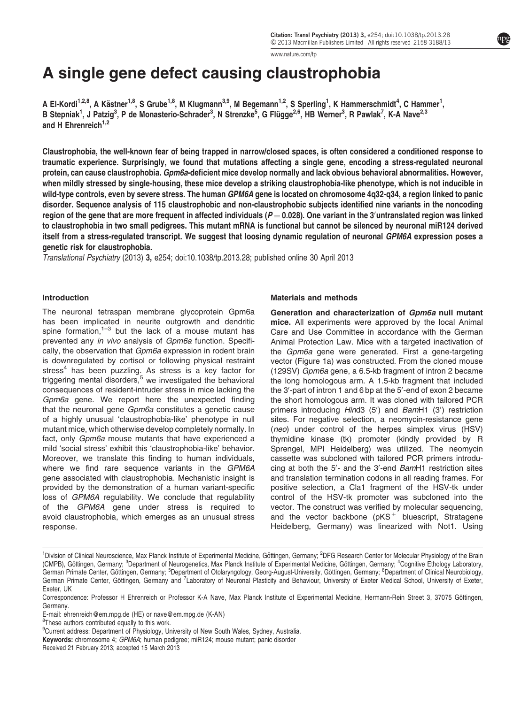[www.nature.com/tp](http://www.nature.com/tp)

# A single gene defect causing claustrophobia

A El-Kordi<sup>1,2,8</sup>, A Kästner<sup>1,8</sup>, S Grube<sup>1,8</sup>, M Klugmann<sup>3,9</sup>, M Begemann<sup>1,2</sup>, S Sperling<sup>1</sup>, K Hammerschmidt<sup>4</sup>, C Hammer<sup>1</sup>, B Stepniak<sup>1</sup>, J Patzig<sup>3</sup>, P de Monasterio-Schrader<sup>3</sup>, N Strenzke<sup>5</sup>, G Flügge<sup>2,6</sup>, HB Werner<sup>3</sup>, R Pawlak<sup>7</sup>, K-A Nave<sup>2,3</sup> and H Ehrenreich $1,2$ 

Claustrophobia, the well-known fear of being trapped in narrow/closed spaces, is often considered a conditioned response to traumatic experience. Surprisingly, we found that mutations affecting a single gene, encoding a stress-regulated neuronal protein, can cause claustrophobia. Gpm6a-deficient mice develop normally and lack obvious behavioral abnormalities. However, when mildly stressed by single-housing, these mice develop a striking claustrophobia-like phenotype, which is not inducible in wild-type controls, even by severe stress. The human GPM6A gene is located on chromosome 4q32-q34, a region linked to panic disorder. Sequence analysis of 115 claustrophobic and non-claustrophobic subjects identified nine variants in the noncoding region of the gene that are more frequent in affected individuals ( $P$   $=$  0.028). One variant in the 3 $^{\prime}$ untranslated region was linked to claustrophobia in two small pedigrees. This mutant mRNA is functional but cannot be silenced by neuronal miR124 derived itself from a stress-regulated transcript. We suggest that loosing dynamic regulation of neuronal GPM6A expression poses a genetic risk for claustrophobia.

Translational Psychiatry (2013) 3, e254; doi:[10.1038/tp.2013.28](http://dx.doi.org/10.1038/tp.2013.28); published online 30 April 2013

#### Introduction

The neuronal tetraspan membrane glycoprotein Gpm6a has been implicated in neurite outgrowth and dendritic spine formation, $1-3$  but the lack of a mouse mutant has prevented any in vivo analysis of Gpm6a function. Specifically, the observation that Gpm6a expression in rodent brain is downregulated by cortisol or following physical restraint stress<sup>[4](#page-10-0)</sup> has been puzzling. As stress is a key factor for triggering mental disorders, $5$  we investigated the behavioral consequences of resident-intruder stress in mice lacking the Gpm6a gene. We report here the unexpected finding that the neuronal gene Gpm6a constitutes a genetic cause of a highly unusual 'claustrophobia-like' phenotype in null mutant mice, which otherwise develop completely normally. In fact, only Gpm6a mouse mutants that have experienced a mild 'social stress' exhibit this 'claustrophobia-like' behavior. Moreover, we translate this finding to human individuals, where we find rare sequence variants in the GPM6A gene associated with claustrophobia. Mechanistic insight is provided by the demonstration of a human variant-specific loss of GPM6A regulability. We conclude that regulability of the GPM6A gene under stress is required to avoid claustrophobia, which emerges as an unusual stress response.

#### Materials and methods

Generation and characterization of Gpm6a null mutant mice. All experiments were approved by the local Animal Care and Use Committee in accordance with the German Animal Protection Law. Mice with a targeted inactivation of the Gpm6a gene were generated. First a gene-targeting vector [\(Figure 1a](#page-1-0)) was constructed. From the cloned mouse (129SV) Gpm6a gene, a 6.5-kb fragment of intron 2 became the long homologous arm. A 1.5-kb fragment that included the 3'-part of intron 1 and 6 bp at the 5'-end of exon 2 became the short homologous arm. It was cloned with tailored PCR primers introducing Hind3 (5') and BamH1 (3') restriction sites. For negative selection, a neomycin-resistance gene (neo) under control of the herpes simplex virus (HSV) thymidine kinase (tk) promoter (kindly provided by R Sprengel, MPI Heidelberg) was utilized. The neomycin cassette was subcloned with tailored PCR primers introducing at both the 5'- and the 3'-end BamH1 restriction sites and translation termination codons in all reading frames. For positive selection, a Cla1 fragment of the HSV-tk under control of the HSV-tk promoter was subcloned into the vector. The construct was verified by molecular sequencing, and the vector backbone ( $pKS^+$  bluescript, Stratagene Heidelberg, Germany) was linearized with Not1. Using

<sup>&</sup>lt;sup>1</sup>Division of Clinical Neuroscience, Max Planck Institute of Experimental Medicine, Göttingen, Germany; <sup>2</sup>DFG Research Center for Molecular Physiology of the Brain (CMPB), Göttingen, Germany; <sup>3</sup>Department of Neurogenetics, Max Planck Institute of Experimental Medicine, Göttingen, Germany; <sup>4</sup>Cognitive Ethology Laboratory, German Primate Center, Göttingen, Germany; <sup>5</sup>Department of Otolaryngology, Georg-August-University, Göttingen, Germany; <sup>6</sup>Department of Clinical Neurobiology, German Primate Center, Göttingen, Germany and <sup>7</sup>Laboratory of Neuronal Plasticity and Behaviour, University of Exeter Medical School, University of Exeter, Exeter, UK

Correspondence: Professor H Ehrenreich or Professor K-A Nave, Max Planck Institute of Experimental Medicine, Hermann-Rein Street 3, 37075 Göttingen, Germany.

E-mail: [ehrenreich@em.mpg.de](mailto:ehrenreich@em.mpg.de) (HE) or [nave@em.mpg.de](mailto:nave@em.mpg.de) (K-AN)

<sup>&</sup>lt;sup>8</sup>These authors contributed equally to this work.

<sup>&</sup>lt;sup>9</sup>Current address: Department of Physiology, University of New South Wales, Sydney, Australia.

Keywords: chromosome 4; GPM6A; human pedigree; miR124; mouse mutant; panic disorder

Received 21 February 2013; accepted 15 March 2013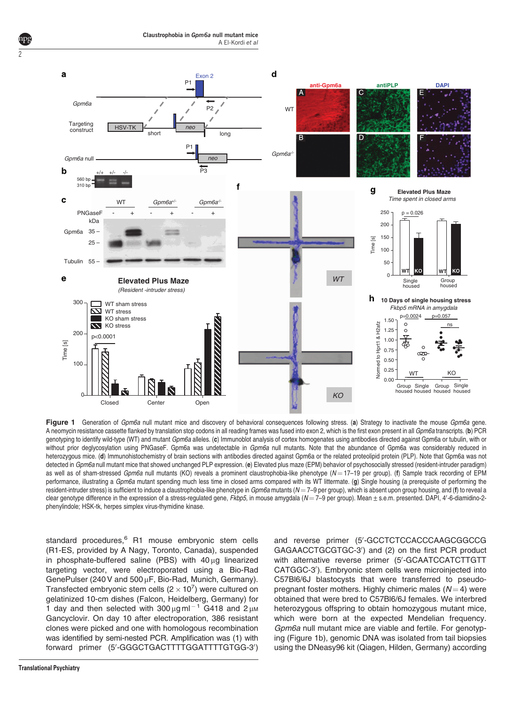<span id="page-1-0"></span>

Figure 1 Generation of Gpm6a null mutant mice and discovery of behavioral consequences following stress. (a) Strategy to inactivate the mouse Gpm6a gene. A neomycin resistance cassette flanked by translation stop codons in all reading frames was fused into exon 2, which is the first exon present in all Gpm6a transcripts. (b) PCR genotyping to identify wild-type (WT) and mutant Gpm6a alleles. (c) Immunoblot analysis of cortex homogenates using antibodies directed against Gpm6a or tubulin, with or without prior deglycosylation using PNGaseF. Gpm6a was undetectable in Gpm6a null mutants. Note that the abundance of Gpm6a was considerably reduced in heterozygous mice. (d) Immunohistochemistry of brain sections with antibodies directed against Gpm6a or the related proteolipid protein (PLP). Note that Gpm6a was not detected in Gpm6a null mutant mice that showed unchanged PLP expression. (e) Elevated plus maze (EPM) behavior of psychosocially stressed (resident-intruder paradigm) as well as of sham-stressed Gpm6a null mutants (KO) reveals a prominent claustrophobia-like phenotype  $(N = 17-19$  per group). (f) Sample track recording of EPM performance, illustrating a Gpm6a mutant spending much less time in closed arms compared with its WT littermate. (g) Single housing (a prerequisite of performing the resident-intruder stress) is sufficient to induce a claustrophobia-like phenotype in  $Gpm6$  and the mutants ( $N = 7$ -9 per group), which is absent upon group housing, and (f) to reveal a clear genotype difference in the expression of a stress-regulated gene, Fkbp5, in mouse amygdala (N=7-9 per group). Mean ± s.e.m. presented. DAPI, 4'-6-diamidino-2phenylindole; HSK-tk, herpes simplex virus-thymidine kinase.

standard procedures,<sup>[6](#page-10-0)</sup> R1 mouse embryonic stem cells (R1-ES, provided by A Nagy, Toronto, Canada), suspended in phosphate-buffered saline (PBS) with  $40 \mu$ g linearized targeting vector, were electroporated using a Bio-Rad GenePulser (240 V and 500 µF, Bio-Rad, Munich, Germany). Transfected embryonic stem cells (2  $\times$  10<sup>7</sup>) were cultured on gelatinized 10-cm dishes (Falcon, Heidelberg, Germany) for 1 day and then selected with  $300 \mu g$  ml<sup>-1</sup> G418 and  $2 \mu M$ Gancyclovir. On day 10 after electroporation, 386 resistant clones were picked and one with homologous recombination was identified by semi-nested PCR. Amplification was (1) with forward primer (5'-GGGCTGACTTTTGGATTTTGTGG-3')

and reverse primer (5'-GCCTCTCCACCCAAGCGGCCG GAGAACCTGCGTGC-3') and (2) on the first PCR product with alternative reverse primer (5'-GCAATCCATCTTGTT CATGGC-3'). Embryonic stem cells were microinjected into C57Bl6/6J blastocysts that were transferred to pseudopregnant foster mothers. Highly chimeric males  $(N = 4)$  were obtained that were bred to C57Bl6/6J females. We interbred heterozygous offspring to obtain homozygous mutant mice, which were born at the expected Mendelian frequency. Gpm6a null mutant mice are viable and fertile. For genotyping (Figure 1b), genomic DNA was isolated from tail biopsies using the DNeasy96 kit (Qiagen, Hilden, Germany) according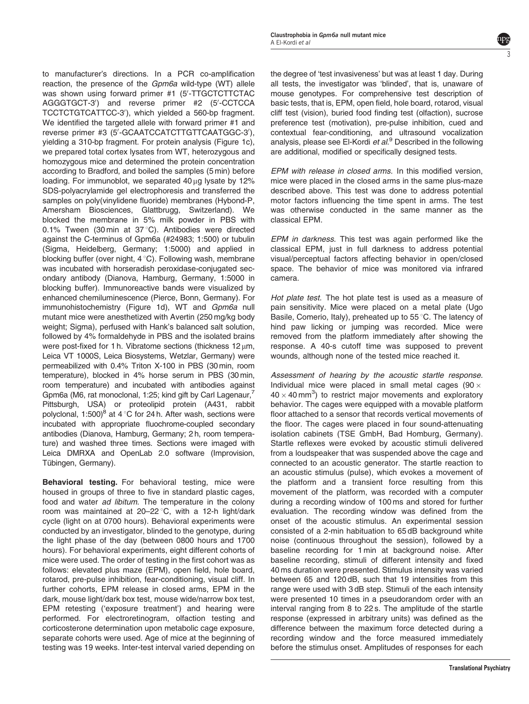to manufacturer's directions. In a PCR co-amplification reaction, the presence of the Gpm6a wild-type (WT) allele was shown using forward primer #1 (5'-TTGCTCTTCTAC AGGGTGCT-3') and reverse primer #2 (5'-CCTCCA TCCTCTGTCATTCC-3'), which yielded a 560-bp fragment. We identified the targeted allele with forward primer #1 and reverse primer #3 (5'-GCAATCCATCTTGTTCAATGGC-3'), yielding a 310-bp fragment. For protein analysis [\(Figure 1c](#page-1-0)), we prepared total cortex lysates from WT, heterozygous and homozygous mice and determined the protein concentration according to Bradford, and boiled the samples (5 min) before loading. For immunoblot, we separated 40 ug lysate by 12% SDS-polyacrylamide gel electrophoresis and transferred the samples on poly(vinylidene fluoride) membranes (Hybond-P, Amersham Biosciences, Glattbrugg, Switzerland). We blocked the membrane in 5% milk powder in PBS with 0.1% Tween (30 min at  $37^{\circ}$ C). Antibodies were directed against the C-terminus of Gpm6a (#24983; 1:500) or tubulin (Sigma, Heidelberg, Germany; 1:5000) and applied in blocking buffer (over night,  $4^{\circ}$ C). Following wash, membrane was incubated with horseradish peroxidase-conjugated secondary antibody (Dianova, Hamburg, Germany, 1:5000 in blocking buffer). Immunoreactive bands were visualized by enhanced chemiluminescence (Pierce, Bonn, Germany). For immunohistochemistry ([Figure 1d\)](#page-1-0), WT and Gpm6a null mutant mice were anesthetized with Avertin (250 mg/kg body weight; Sigma), perfused with Hank's balanced salt solution, followed by 4% formaldehyde in PBS and the isolated brains were post-fixed for 1 h. Vibratome sections (thickness  $12 \mu m$ , Leica VT 1000S, Leica Biosystems, Wetzlar, Germany) were permeabilized with 0.4% Triton X-100 in PBS (30 min, room temperature), blocked in 4% horse serum in PBS (30 min, room temperature) and incubated with antibodies against Gpm6a (M6, rat monoclonal, 1:25; kind gift by Carl Lagenaur,<sup>7</sup> Pittsburgh, USA) or proteolipid protein (A431, rabbit polyclonal, 1:500)<sup>8</sup> at 4 °C for 24 h. After wash, sections were incubated with appropriate fluochrome-coupled secondary antibodies (Dianova, Hamburg, Germany; 2 h, room temperature) and washed three times. Sections were imaged with Leica DMRXA and OpenLab 2.0 software (Improvision, Tübingen, Germany).

Behavioral testing. For behavioral testing, mice were housed in groups of three to five in standard plastic cages, food and water *ad libitum*. The temperature in the colony room was maintained at  $20-22$  °C, with a 12-h light/dark cycle (light on at 0700 hours). Behavioral experiments were conducted by an investigator, blinded to the genotype, during the light phase of the day (between 0800 hours and 1700 hours). For behavioral experiments, eight different cohorts of mice were used. The order of testing in the first cohort was as follows: elevated plus maze (EPM), open field, hole board, rotarod, pre-pulse inhibition, fear-conditioning, visual cliff. In further cohorts, EPM release in closed arms, EPM in the dark, mouse light/dark box test, mouse wide/narrow box test, EPM retesting ('exposure treatment') and hearing were performed. For electroretinogram, olfaction testing and corticosterone determination upon metabolic cage exposure, separate cohorts were used. Age of mice at the beginning of testing was 19 weeks. Inter-test interval varied depending on

the degree of 'test invasiveness' but was at least 1 day. During all tests, the investigator was 'blinded', that is, unaware of mouse genotypes. For comprehensive test description of basic tests, that is, EPM, open field, hole board, rotarod, visual cliff test (vision), buried food finding test (olfaction), sucrose preference test (motivation), pre-pulse inhibition, cued and contextual fear-conditioning, and ultrasound vocalization analysis, please see El-Kordi et  $al<sup>9</sup>$  $al<sup>9</sup>$  $al<sup>9</sup>$  Described in the following are additional, modified or specifically designed tests.

EPM with release in closed arms. In this modified version, mice were placed in the closed arms in the same plus-maze described above. This test was done to address potential motor factors influencing the time spent in arms. The test was otherwise conducted in the same manner as the classical EPM.

EPM in darkness. This test was again performed like the classical EPM, just in full darkness to address potential visual/perceptual factors affecting behavior in open/closed space. The behavior of mice was monitored via infrared camera.

Hot plate test. The hot plate test is used as a measure of pain sensitivity. Mice were placed on a metal plate (Ugo Basile, Comerio, Italy), preheated up to 55 °C. The latency of hind paw licking or jumping was recorded. Mice were removed from the platform immediately after showing the response. A 40-s cutoff time was supposed to prevent wounds, although none of the tested mice reached it.

Assessment of hearing by the acoustic startle response. Individual mice were placed in small metal cages (90  $\times$  $40 \times 40$  mm<sup>3</sup>) to restrict major movements and exploratory behavior. The cages were equipped with a movable platform floor attached to a sensor that records vertical movements of the floor. The cages were placed in four sound-attenuating isolation cabinets (TSE GmbH, Bad Homburg, Germany). Startle reflexes were evoked by acoustic stimuli delivered from a loudspeaker that was suspended above the cage and connected to an acoustic generator. The startle reaction to an acoustic stimulus (pulse), which evokes a movement of the platform and a transient force resulting from this movement of the platform, was recorded with a computer during a recording window of 100 ms and stored for further evaluation. The recording window was defined from the onset of the acoustic stimulus. An experimental session consisted of a 2-min habituation to 65 dB background white noise (continuous throughout the session), followed by a baseline recording for 1 min at background noise. After baseline recording, stimuli of different intensity and fixed 40 ms duration were presented. Stimulus intensity was varied between 65 and 120 dB, such that 19 intensities from this range were used with 3 dB step. Stimuli of the each intensity were presented 10 times in a pseudorandom order with an interval ranging from 8 to 22 s. The amplitude of the startle response (expressed in arbitrary units) was defined as the difference between the maximum force detected during a recording window and the force measured immediately before the stimulus onset. Amplitudes of responses for each

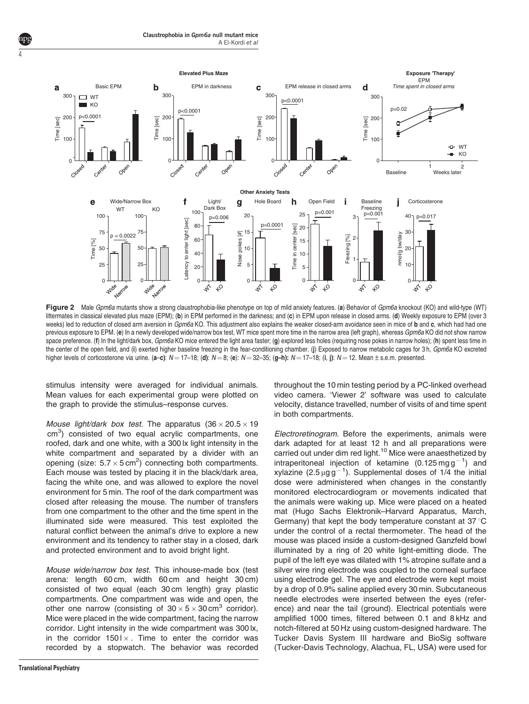

Figure 2 Male Gpm6a mutants show a strong claustrophobia-like phenotype on top of mild anxiety features. (a) Behavior of Gpm6a knockout (KO) and wild-type (WT) littermates in classical elevated plus maze (EPM); (b) in EPM performed in the darkness; and (c) in EPM upon release in closed arms. (d) Weekly exposure to EPM (over 3 weeks) led to reduction of closed arm aversion in Gpm6a KO. This adjustment also explains the weaker closed-arm avoidance seen in mice of b and c, which had had one previous exposure to EPM. (e) In a newly developed wide/narrow box test, WT mice spent more time in the narrow area (left graph), whereas Gpm6a KO did not show narrow space preference. (f) In the light/dark box,  $Gpm6a$  KO mice entered the light area faster; (g) explored less holes (requiring nose pokes in narrow holes); (h) spent less time in the center of the open field, and (i) exerted higher baseline freezing in the fear-conditioning chamber. (j) Exposed to narrow metabolic cages for 3 h, Gpm6a KO excreted higher levels of corticosterone via urine. (a–c):  $N=17-18$ ; (d):  $N=8$ ; (e):  $N=32-35$ ; (g–h):  $N=17-18$ ; (i, j):  $N=12$ . Mean  $\pm$  s.e.m. presented.

stimulus intensity were averaged for individual animals. Mean values for each experimental group were plotted on the graph to provide the stimulus–response curves.

Mouse light/dark box test. The apparatus  $(36 \times 20.5 \times 19)$ cm<sup>3</sup>) consisted of two equal acrylic compartments, one roofed, dark and one white, with a 300 lx light intensity in the white compartment and separated by a divider with an opening (size:  $5.7 \times 5 \text{ cm}^2$ ) connecting both compartments. Each mouse was tested by placing it in the black/dark area, facing the white one, and was allowed to explore the novel environment for 5 min. The roof of the dark compartment was closed after releasing the mouse. The number of transfers from one compartment to the other and the time spent in the illuminated side were measured. This test exploited the natural conflict between the animal's drive to explore a new environment and its tendency to rather stay in a closed, dark and protected environment and to avoid bright light.

Mouse wide/narrow box test. This inhouse-made box (test arena: length 60 cm, width 60 cm and height 30 cm) consisted of two equal (each 30 cm length) gray plastic compartments. One compartment was wide and open, the other one narrow (consisting of  $30 \times 5 \times 30$  cm<sup>3</sup> corridor). Mice were placed in the wide compartment, facing the narrow corridor. Light intensity in the wide compartment was 300 lx, in the corridor  $1501 \times$ . Time to enter the corridor was recorded by a stopwatch. The behavior was recorded

<span id="page-3-0"></span>4

throughout the 10 min testing period by a PC-linked overhead video camera. 'Viewer 2' software was used to calculate velocity, distance travelled, number of visits of and time spent in both compartments.

Electroretinogram. Before the experiments, animals were dark adapted for at least 12 h and all preparations were carried out under dim red light.<sup>[10](#page-10-0)</sup> Mice were anaesthetized by intraperitoneal injection of ketamine  $(0.125 \text{ mg g}^{-1})$  and xylazine (2.5  $\mu$ gg<sup>-1</sup>). Supplemental doses of 1/4 the initial dose were administered when changes in the constantly monitored electrocardiogram or movements indicated that the animals were waking up. Mice were placed on a heated mat (Hugo Sachs Elektronik–Harvard Apparatus, March, Germany) that kept the body temperature constant at  $37^{\circ}$ C under the control of a rectal thermometer. The head of the mouse was placed inside a custom-designed Ganzfeld bowl illuminated by a ring of 20 white light-emitting diode. The pupil of the left eye was dilated with 1% atropine sulfate and a silver wire ring electrode was coupled to the corneal surface using electrode gel. The eye and electrode were kept moist by a drop of 0.9% saline applied every 30 min. Subcutaneous needle electrodes were inserted between the eyes (reference) and near the tail (ground). Electrical potentials were amplified 1000 times, filtered between 0.1 and 8 kHz and notch-filtered at 50 Hz using custom-designed hardware. The Tucker Davis System III hardware and BioSig software (Tucker-Davis Technology, Alachua, FL, USA) were used for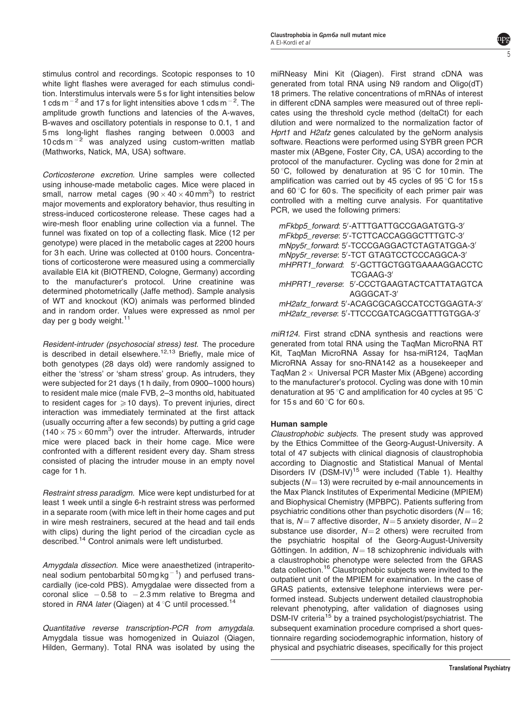stimulus control and recordings. Scotopic responses to 10 white light flashes were averaged for each stimulus condition. Interstimulus intervals were 5 s for light intensities below 1 cds m<sup> $-2$ </sup> and 17 s for light intensities above 1 cds m $^{-2}$ . The amplitude growth functions and latencies of the A-waves, B-waves and oscillatory potentials in response to 0.1, 1 and 5 ms long-light flashes ranging between 0.0003 and  $10 \text{ cds m}^{-2}$  was analyzed using custom-written matlab (Mathworks, Natick, MA, USA) software.

Corticosterone excretion. Urine samples were collected using inhouse-made metabolic cages. Mice were placed in small, narrow metal cages  $(90 \times 40 \times 40\,\text{mm}^3)$  to restrict major movements and exploratory behavior, thus resulting in stress-induced corticosterone release. These cages had a wire-mesh floor enabling urine collection via a funnel. The funnel was fixated on top of a collecting flask. Mice (12 per genotype) were placed in the metabolic cages at 2200 hours for 3h each. Urine was collected at 0100 hours. Concentrations of corticosterone were measured using a commercially available EIA kit (BIOTREND, Cologne, Germany) according to the manufacturer's protocol. Urine creatinine was determined photometrically (Jaffe method). Sample analysis of WT and knockout (KO) animals was performed blinded and in random order. Values were expressed as nmol per day per g body weight.<sup>[11](#page-10-0)</sup>

Resident-intruder (psychosocial stress) test. The procedure is described in detail elsewhere.<sup>[12,13](#page-10-0)</sup> Briefly, male mice of both genotypes (28 days old) were randomly assigned to either the 'stress' or 'sham stress' group. As intruders, they were subjected for 21 days (1 h daily, from 0900–1000 hours) to resident male mice (male FVB, 2–3 months old, habituated to resident cages for  $\geq 10$  days). To prevent injuries, direct interaction was immediately terminated at the first attack (usually occurring after a few seconds) by putting a grid cage  $(140 \times 75 \times 60 \text{ mm}^3)$  over the intruder. Afterwards, intruder mice were placed back in their home cage. Mice were confronted with a different resident every day. Sham stress consisted of placing the intruder mouse in an empty novel cage for 1 h.

Restraint stress paradigm. Mice were kept undisturbed for at least 1 week until a single 6-h restraint stress was performed in a separate room (with mice left in their home cages and put in wire mesh restrainers, secured at the head and tail ends with clips) during the light period of the circadian cycle as described.<sup>14</sup> Control animals were left undisturbed.

Amygdala dissection. Mice were anaesthetized (intraperitoneal sodium pentobarbital 50 mg kg $^{-1}$ ) and perfused transcardially (ice-cold PBS). Amygdalae were dissected from a coronal slice  $-0.58$  to  $-2.3$  mm relative to Bregma and stored in  $RNA$  later (Qiagen) at 4 °C until processed.<sup>[14](#page-10-0)</sup>

Quantitative reverse transcription-PCR from amygdala. Amygdala tissue was homogenized in Quiazol (Qiagen, Hilden, Germany). Total RNA was isolated by using the

miRNeasy Mini Kit (Qiagen). First strand cDNA was generated from total RNA using N9 random and Oligo(dT) 18 primers. The relative concentrations of mRNAs of interest in different cDNA samples were measured out of three replicates using the threshold cycle method (deltaCt) for each dilution and were normalized to the normalization factor of Hprt1 and H2afz genes calculated by the geNorm analysis software. Reactions were performed using SYBR green PCR master mix (ABgene, Foster City, CA, USA) according to the protocol of the manufacturer. Cycling was done for 2 min at 50 °C, followed by denaturation at 95 °C for 10 min. The amplification was carried out by 45 cycles of  $95^{\circ}$ C for 15 s and  $60^{\circ}$ C for 60 s. The specificity of each primer pair was controlled with a melting curve analysis. For quantitative PCR, we used the following primers:

5

| mFkbp5_forward: 5'-ATTTGATTGCCGAGATGTG-3'    |
|----------------------------------------------|
| mFkbp5_reverse: 5'-TCTTCACCAGGGCTTTGTC-3'    |
| mNpy5r_forward: 5'-TCCCGAGGACTCTAGTATGGA-3'  |
| mNpy5r_reverse: 5'-TCT GTAGTCCTCCCAGGCA-3'   |
| mHPRT1_forward: 5'-GCTTGCTGGTGAAAAGGACCTC    |
| TCGAAG-3'                                    |
| mHPRT1_reverse: 5'-CCCTGAAGTACTCATTATAGTCA   |
| AGGGCAT-3                                    |
| mH2afz_forward: 5'-ACAGCGCAGCCATCCTGGAGTA-3' |
| mH2afz_reverse: 5'-TTCCCGATCAGCGATTTGTGGA-3' |
|                                              |

miR124. First strand cDNA synthesis and reactions were generated from total RNA using the TaqMan MicroRNA RT Kit, TaqMan MicroRNA Assay for hsa-miR124, TaqMan MicroRNA Assay for sno-RNA142 as a housekeeper and TaqMan 2  $\times$  Universal PCR Master Mix (ABgene) according to the manufacturer's protocol. Cycling was done with 10 min denaturation at 95 $^{\circ}$ C and amplification for 40 cycles at 95 $^{\circ}$ C for 15 s and 60 $\degree$ C for 60 s.

## Human sample

Claustrophobic subjects. The present study was approved by the Ethics Committee of the Georg-August-University. A total of 47 subjects with clinical diagnosis of claustrophobia according to Diagnostic and Statistical Manual of Mental Disorders IV (DSM-IV)<sup>[15](#page-10-0)</sup> were included ([Table 1](#page-5-0)). Healthy subjects ( $N = 13$ ) were recruited by e-mail announcements in the Max Planck Institutes of Experimental Medicine (MPIEM) and Biophysical Chemistry (MPBPC). Patients suffering from psychiatric conditions other than psychotic disorders  $(N = 16;$ that is,  $N = 7$  affective disorder,  $N = 5$  anxiety disorder,  $N = 2$ substance use disorder,  $N = 2$  others) were recruited from the psychiatric hospital of the Georg-August-University Göttingen. In addition,  $N = 18$  schizophrenic individuals with a claustrophobic phenotype were selected from the GRAS data collection.<sup>[16](#page-10-0)</sup> Claustrophobic subjects were invited to the outpatient unit of the MPIEM for examination. In the case of GRAS patients, extensive telephone interviews were performed instead. Subjects underwent detailed claustrophobia relevant phenotyping, after validation of diagnoses using DSM-IV criteria<sup>[15](#page-10-0)</sup> by a trained psychologist/psychiatrist. The subsequent examination procedure comprised a short questionnaire regarding sociodemographic information, history of physical and psychiatric diseases, specifically for this project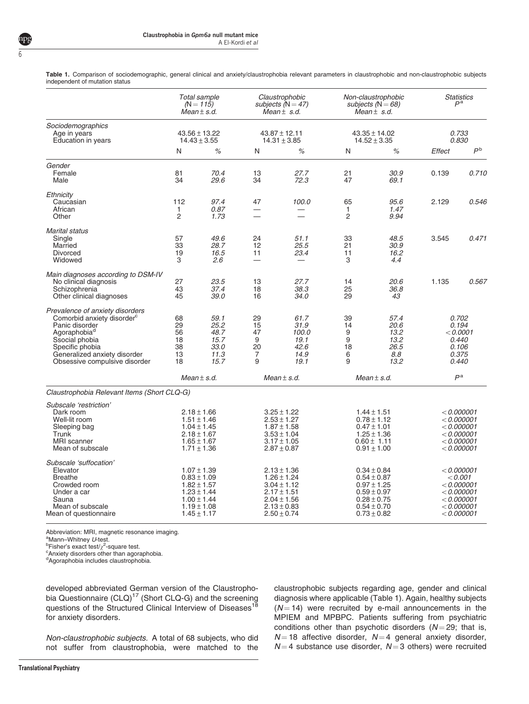<span id="page-5-0"></span>Table 1. Comparison of sociodemographic, general clinical and anxiety/claustrophobia relevant parameters in claustrophobic and non-claustrophobic subjects independent of mutation status

|                                                                                                                                                                                                                               |                                                                                                                | Total sample<br>$(N = 115)$<br>$Mean \pm s.d.$                                                                                    |                                                                                                                | Claustrophobic<br>subjects ( $N = 47$ )<br>Mean $\pm$ s.d.                                                                        |                                                                                                                | Non-claustrophobic<br>subjects ( $N = 68$ )<br>Mean $\pm$ s.d.                                                                    |                                                                                        | <b>Statistics</b><br>P <sup>a</sup>                                                             |  |
|-------------------------------------------------------------------------------------------------------------------------------------------------------------------------------------------------------------------------------|----------------------------------------------------------------------------------------------------------------|-----------------------------------------------------------------------------------------------------------------------------------|----------------------------------------------------------------------------------------------------------------|-----------------------------------------------------------------------------------------------------------------------------------|----------------------------------------------------------------------------------------------------------------|-----------------------------------------------------------------------------------------------------------------------------------|----------------------------------------------------------------------------------------|-------------------------------------------------------------------------------------------------|--|
| Sociodemographics<br>Age in years<br>Education in years                                                                                                                                                                       | $43.56 \pm 13.22$<br>$14.43 \pm 3.55$                                                                          |                                                                                                                                   | $43.87 \pm 12.11$<br>$14.31 \pm 3.85$                                                                          |                                                                                                                                   | $43.35 \pm 14.02$<br>$14.52 \pm 3.35$                                                                          |                                                                                                                                   | 0.733<br>0.830                                                                         |                                                                                                 |  |
|                                                                                                                                                                                                                               | N                                                                                                              | %                                                                                                                                 | N                                                                                                              | %                                                                                                                                 | N                                                                                                              | %                                                                                                                                 | Effect                                                                                 | $P^{\text{b}}$                                                                                  |  |
| Gender<br>Female<br>Male                                                                                                                                                                                                      | 81<br>34                                                                                                       | 70.4<br>29.6                                                                                                                      | 13<br>34                                                                                                       | 27.7<br>72.3                                                                                                                      | 21<br>47                                                                                                       | 30.9<br>69.1                                                                                                                      | 0.139                                                                                  | 0.710                                                                                           |  |
| Ethnicity<br>Caucasian<br>African<br>Other                                                                                                                                                                                    | 112<br>1<br>$\overline{c}$                                                                                     | 97.4<br>0.87<br>1.73                                                                                                              | 47<br>$\overline{\phantom{0}}$                                                                                 | 100.0<br>–                                                                                                                        | 65<br>1<br>$\overline{2}$                                                                                      | 95.6<br>1.47<br>9.94                                                                                                              | 2.129                                                                                  | 0.546                                                                                           |  |
| <b>Marital status</b><br>Single<br>Married<br><b>Divorced</b><br>Widowed                                                                                                                                                      | 57<br>33<br>19<br>3                                                                                            | 49.6<br>28.7<br>16.5<br>2.6                                                                                                       | 24<br>12<br>11<br>$\overline{\phantom{0}}$                                                                     | 51.1<br>25.5<br>23.4                                                                                                              | 33<br>21<br>11<br>3                                                                                            | 48.5<br>30.9<br>16.2<br>4.4                                                                                                       | 3.545                                                                                  | 0.471                                                                                           |  |
| Main diagnoses according to DSM-IV<br>No clinical diagnosis<br>Schizophrenia<br>Other clinical diagnoses                                                                                                                      | 27<br>43<br>45                                                                                                 | 23.5<br>37.4<br>39.0                                                                                                              | 13<br>18<br>16                                                                                                 | 27.7<br>38.3<br>34.0                                                                                                              | 14<br>25<br>29                                                                                                 | 20.6<br>36.8<br>43                                                                                                                | 1.135                                                                                  | 0.567                                                                                           |  |
| Prevalence of anxiety disorders<br>Comorbid anxiety disorder <sup>c</sup><br>Panic disorder<br>Agoraphobia <sup>a</sup><br>Ssocial phobia<br>Specific phobia<br>Generalized anxiety disorder<br>Obsessive compulsive disorder | 68<br>29<br>56<br>18<br>38<br>13<br>18                                                                         | 59.1<br>25.2<br>48.7<br>15.7<br>33.0<br>11.3<br>15.7                                                                              | 29<br>15<br>47<br>9<br>20<br>$\overline{7}$<br>9                                                               | 61.7<br>31.9<br>100.0<br>19.1<br>42.6<br>14.9<br>19.1                                                                             | 39<br>14<br>9<br>9<br>18<br>6<br>9                                                                             | 57.4<br>20.6<br>13.2<br>13.2<br>26.5<br>8.8<br>13.2                                                                               | 0.702<br>0.194<br>< 0.0001<br>0.440<br>0.106<br>0.375<br>0.440                         |                                                                                                 |  |
|                                                                                                                                                                                                                               |                                                                                                                | $Mean \pm s.d.$                                                                                                                   |                                                                                                                | $Mean \pm s.d.$                                                                                                                   |                                                                                                                | $Mean \pm s.d.$                                                                                                                   | P <sup>a</sup>                                                                         |                                                                                                 |  |
| Claustrophobia Relevant Items (Short CLQ-G)                                                                                                                                                                                   |                                                                                                                |                                                                                                                                   |                                                                                                                |                                                                                                                                   |                                                                                                                |                                                                                                                                   |                                                                                        |                                                                                                 |  |
| Subscale 'restriction'<br>Dark room<br>Well-lit room<br>Sleeping bag<br>Trunk<br><b>MRI</b> scanner<br>Mean of subscale                                                                                                       | $2.18 \pm 1.66$<br>$1.51 \pm 1.46$<br>$1.04 \pm 1.45$<br>$2.18 \pm 1.67$<br>$1.65 \pm 1.67$<br>$1.71 \pm 1.36$ |                                                                                                                                   | $3.25 \pm 1.22$<br>$2.53 \pm 1.27$<br>$1.87 \pm 1.58$<br>$3.53 \pm 1.04$<br>$3.17 \pm 1.05$<br>$2.87 \pm 0.87$ |                                                                                                                                   | $1.44 \pm 1.51$<br>$0.78 \pm 1.12$<br>$0.47 \pm 1.01$<br>$1.25 \pm 1.36$<br>$0.60 \pm 1.11$<br>$0.91 \pm 1.00$ |                                                                                                                                   | $<$ 0.000001<br>< 0.000001<br>< 0.000001<br>< 0.000001<br>$<$ 0.000001<br>$<$ 0.000001 |                                                                                                 |  |
| Subscale 'suffocation'<br>Elevator<br><b>Breathe</b><br>Crowded room<br>Under a car<br>Sauna<br>Mean of subscale<br>Mean of questionnaire                                                                                     |                                                                                                                | $1.07 \pm 1.39$<br>$0.83 \pm 1.09$<br>$1.82 \pm 1.57$<br>$1.23 \pm 1.44$<br>$1.00 \pm 1.44$<br>$1.19 \pm 1.08$<br>$1.45 \pm 1.17$ |                                                                                                                | $2.13 \pm 1.36$<br>$1.26 \pm 1.24$<br>$3.04 \pm 1.12$<br>$2.17 \pm 1.51$<br>$2.04 \pm 1.56$<br>$2.13 \pm 0.83$<br>$2.50 \pm 0.74$ |                                                                                                                | $0.34 \pm 0.84$<br>$0.54 \pm 0.87$<br>$0.97 \pm 1.25$<br>$0.59 \pm 0.97$<br>$0.28 \pm 0.75$<br>$0.54 \pm 0.70$<br>$0.73 \pm 0.82$ |                                                                                        | < 0.000001<br>< 0.001<br>$<$ 0.000001<br>< 0.000001<br>< 0.000001<br>< 0.000001<br>$<$ 0.000001 |  |

Abbreviation: MRI, magnetic resonance imaging.

<sup>b</sup>Fisher's exact test/ $\chi^2$ -square test.

Anxiety disorders other than agoraphobia.

<sup>d</sup>Agoraphobia includes claustrophobia.

developed abbreviated German version of the Claustropho-bia Questionnaire (CLQ)<sup>[17](#page-10-0)</sup> (Short CLQ-G) and the screening questions of the Structured Clinical Interview of Diseases<sup>18</sup> for anxiety disorders.

Non-claustrophobic subjects. A total of 68 subjects, who did not suffer from claustrophobia, were matched to the

claustrophobic subjects regarding age, gender and clinical diagnosis where applicable (Table 1). Again, healthy subjects  $(N = 14)$  were recruited by e-mail announcements in the MPIEM and MPBPC. Patients suffering from psychiatric conditions other than psychotic disorders  $(N = 29;$  that is,  $N = 18$  affective disorder,  $N = 4$  general anxiety disorder,  $N = 4$  substance use disorder,  $N = 3$  others) were recruited

<sup>&</sup>lt;sup>a</sup>Mann–Whitney U-test.<br><sup>b</sup>Eisher's exact test/x<sup>2</sup> s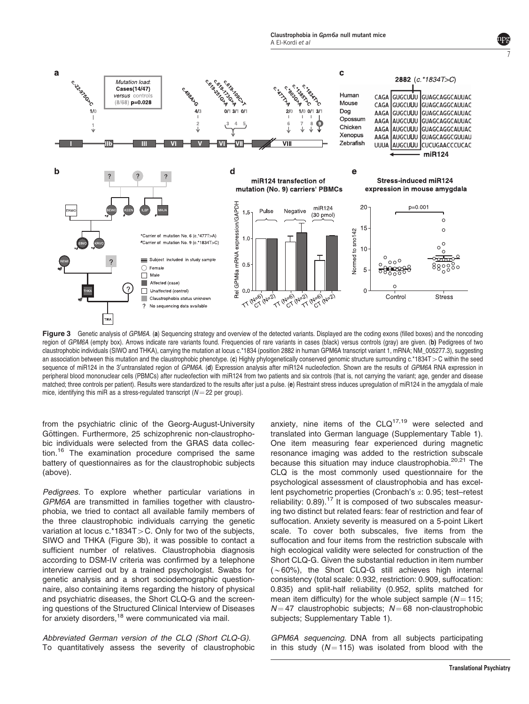<span id="page-6-0"></span>

Figure 3 Genetic analysis of GPM6A. (a) Sequencing strategy and overview of the detected variants. Displayed are the coding exons (filled boxes) and the noncoding region of GPM6A (empty box). Arrows indicate rare variants found. Frequencies of rare variants in cases (black) versus controls (gray) are given. (b) Pedigrees of two claustrophobic individuals (SIWO and THKA), carrying the mutation at locus c.\*1834 (position 2882 in human GPM6A transcript variant 1, mRNA; NM\_005277.3), suggesting an association between this mutation and the claustrophobic phenotype. (c) Highly phylogenetically conserved genomic structure surrounding c.\*1834T > C within the seed sequence of miR124 in the 3'untranslated region of GPM6A. (d) Expression analysis after miR124 nucleofection. Shown are the results of GPM6A RNA expression in peripheral blood mononuclear cells (PBMCs) after nucleofection with miR124 from two patients and six controls (that is, not carrying the variant; age, gender and disease matched; three controls per patient). Results were standardized to the results after just a pulse. (e) Restraint stress induces upregulation of miR124 in the amygdala of male mice, identifying this miR as a stress-regulated transcript ( $N = 22$  per group).

from the psychiatric clinic of the Georg-August-University Göttingen. Furthermore, 25 schizophrenic non-claustrophobic individuals were selected from the GRAS data collection.[16](#page-10-0) The examination procedure comprised the same battery of questionnaires as for the claustrophobic subjects (above).

Pedigrees. To explore whether particular variations in GPM6A are transmitted in families together with claustrophobia, we tried to contact all available family members of the three claustrophobic individuals carrying the genetic variation at locus  $c.*1834T>C$ . Only for two of the subjects, SIWO and THKA (Figure 3b), it was possible to contact a sufficient number of relatives. Claustrophobia diagnosis according to DSM-IV criteria was confirmed by a telephone interview carried out by a trained psychologist. Swabs for genetic analysis and a short sociodemographic questionnaire, also containing items regarding the history of physical and psychiatric diseases, the Short CLQ-G and the screening questions of the Structured Clinical Interview of Diseases for anxiety disorders,<sup>[18](#page-10-0)</sup> were communicated via mail.

Abbreviated German version of the CLQ (Short CLQ-G). To quantitatively assess the severity of claustrophobic

anxiety, nine items of the  $CLQ^{17,19}$  $CLQ^{17,19}$  $CLQ^{17,19}$  were selected and translated into German language (Supplementary Table 1). One item measuring fear experienced during magnetic resonance imaging was added to the restriction subscale because this situation may induce claustrophobia.<sup>[20,21](#page-10-0)</sup> The CLQ is the most commonly used questionnaire for the psychological assessment of claustrophobia and has excellent psychometric properties (Cronbach's a: 0.95; test–retest reliability:  $0.89$ ).<sup>[17](#page-10-0)</sup> It is composed of two subscales measuring two distinct but related fears: fear of restriction and fear of suffocation. Anxiety severity is measured on a 5-point Likert scale. To cover both subscales, five items from the suffocation and four items from the restriction subscale with high ecological validity were selected for construction of the Short CLQ-G. Given the substantial reduction in item number  $(\sim 60\%)$ , the Short CLQ-G still achieves high internal consistency (total scale: 0.932, restriction: 0.909, suffocation: 0.835) and split-half reliability (0.952, splits matched for mean item difficulty) for the whole subject sample ( $N = 115$ ;  $N = 47$  claustrophobic subjects;  $N = 68$  non-claustrophobic subjects; Supplementary Table 1).

GPM6A sequencing. DNA from all subjects participating in this study ( $N = 115$ ) was isolated from blood with the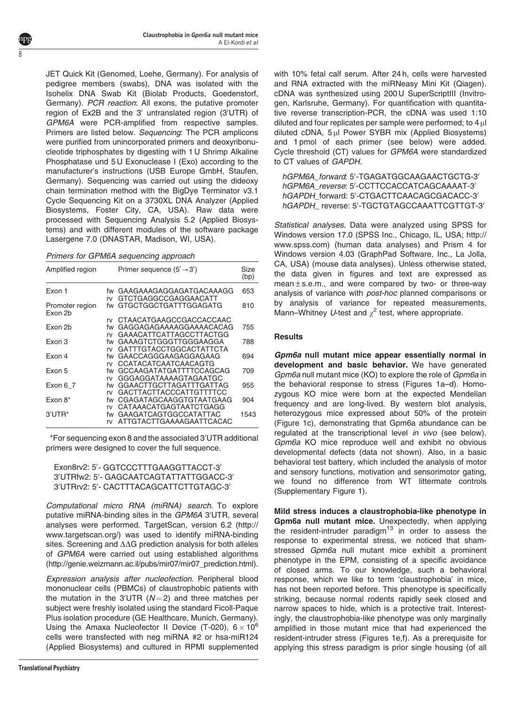JET Quick Kit (Genomed, Loehe, Germany). For analysis of pedigree members (swabs), DNA was isolated with the Isohelix DNA Swab Kit (Biolab Products, Goedenstorf, Germany). PCR reaction: All exons, the putative promoter region of Ex2B and the 3' untranslated region (3'UTR) of GPM6A were PCR-amplified from respective samples. Primers are listed below. Sequencing: The PCR amplicons were purified from unincorporated primers and deoxyribonucleotide triphosphates by digesting with 1 U Shrimp Alkaline Phosphatase und 5 U Exonuclease I (Exo) according to the manufacturer's instructions (USB Europe GmbH, Staufen, Germany). Sequencing was carried out using the dideoxy chain termination method with the BigDye Terminator v3.1 Cycle Sequencing Kit on a 3730XL DNA Analyzer (Applied Biosystems, Foster City, CA, USA). Raw data were processed with Sequencing Analysis 5.2 (Applied Biosystems) and with different modules of the software package Lasergene 7.0 (DNASTAR, Madison, WI, USA).

Primers for GPM6A sequencing approach

ŏ

| Amplified region           |          | Primer sequence $(5' \rightarrow 3')$             | Size<br>(bp) |
|----------------------------|----------|---------------------------------------------------|--------------|
| Exon 1                     | fw       | GAAGAAAGAGGAGATGACAAAGG                           | 653          |
|                            | rv       | GTCTGAGGCCGAGGAACATT                              |              |
| Promoter region<br>Exon 2b | fw       | GTGCTGGCTGATTTGGAGATG                             | 810          |
|                            | rv       | CTAACATGAAGCCGACCACCAAC                           |              |
| Fxon 2h                    | fw       | GAGGAGAGAAAAGGAAAACACAG                           | 755          |
|                            | rv       | GAAACATTCATTAGCCTTACTGG                           |              |
| Exon 3                     | fw       | GAAAGTCTGGGTTGGGAAGGA                             | 788          |
|                            | rv       | GATTTGTACCTGGCACTATTCTA                           |              |
| Fxon <sub>4</sub>          | fw       | GAACCAGGGAAGAGGAGAAG                              | 694          |
|                            | rv       | CCATACATCAATCAACAGTG                              |              |
| Fxon 5                     | fw       | GCCAAGATATGATTTTCCAGCAG                           | 709          |
|                            | rv       | GGGAGGATAAAAGTAGAATGC                             |              |
| Exon 6 7                   | fw       | GGAACTTGCTTAGATTTGATTAG                           | 955          |
|                            | rv       | GACTTACTTACCCATTGTTTTCC                           |              |
| Exon $8^*$                 | fw       | CGAGATAGCAAGGTGTAATGAAG                           | 904          |
|                            | rv       | CATAAACATGAGTAATCTGAGG                            |              |
| $3'UTR*$                   | fw<br>rv | GAAGATCAGTGGCCATATTAC<br>ATTGTACTTGAAAAGAATTCACAC | 1543         |

\*For sequencing exon 8 and the associated 3'UTR additional primers were designed to cover the full sequence.

Exon8rv2: 5'- GGTCCCTTTGAAGGTTACCT-3' 3'UTRfw2: 5'- GAGCAATCAGTATTATTGGACC-3' 3'UTRrv2: 5'- CACTTTACAGCATTCTTGTAGC-3'

Computational micro RNA (miRNA) search. To explore putative miRNA-binding sites in the GPM6A 3'UTR, several analyses were performed. TargetScan, version 6.2 [\(http://](http://www.targetscan.org/) [www.targetscan.org/](http://www.targetscan.org/)) was used to identify miRNA-binding sites. Screening and  $\Delta\Delta G$  prediction analysis for both alleles of GPM6A were carried out using established algorithms ([http://genie.weizmann.ac.il/pubs/mir07/mir07\\_prediction.html](http://genie.weizmann.ac.il/pubs/mir07/mir07_prediction.html)).

Expression analysis after nucleofection. Peripheral blood mononuclear cells (PBMCs) of claustrophobic patients with the mutation in the  $3'$ UTR ( $N=2$ ) and three matches per subject were freshly isolated using the standard Ficoll-Paque Plus isolation procedure (GE Healthcare, Munich, Germany). Using the Amaxa Nucleofector II Device (T-020),  $6 \times 10^6$ cells were transfected with neg miRNA #2 or hsa-miR124 (Applied Biosystems) and cultured in RPMI supplemented with 10% fetal calf serum. After 24 h, cells were harvested and RNA extracted with the miRNeasy Mini Kit (Qiagen). cDNA was synthesized using 200 U SuperScriptIII (Invitrogen, Karlsruhe, Germany). For quantification with quantitative reverse transcription-PCR, the cDNA was used 1:10 diluted and four replicates per sample were performed; to  $4 \mu$ diluted cDNA,  $5 \mu$ I Power SYBR mix (Applied Biosystems) and 1 pmol of each primer (see below) were added. Cycle threshold (CT) values for GPM6A were standardized to CT values of GAPDH.

hGPM6A\_forward: 5'-TGAGATGGCAAGAACTGCTG-3' hGPM6A\_reverse: 5'-CCTTCCACCATCAGCAAAAT-3' hGAPDH\_forward: 5'-CTGACTTCAACAGCGACACC-3' hGAPDH\_ reverse: 5'-TGCTGTAGCCAAATTCGTTGT-3'

Statistical analyses. Data were analyzed using SPSS for Windows version 17.0 (SPSS Inc., Chicago, IL, USA; http:// www.spss.com) (human data analyses) and Prism 4 for Windows version 4.03 (GraphPad Software, Inc., La Jolla, CA, USA) (mouse data analyses). Unless otherwise stated, the data given in figures and text are expressed as mean  $\pm$  s.e.m., and were compared by two- or three-way analysis of variance with post-hoc planned comparisons or by analysis of variance for repeated measurements, Mann–Whitney U-test and  $\chi^2$  test, where appropriate.

## **Results**

Gpm6a null mutant mice appear essentially normal in development and basic behavior. We have generated Gpm6a null mutant mice (KO) to explore the role of Gpm6a in the behavioral response to stress ([Figures 1a–d\)](#page-1-0). Homozygous KO mice were born at the expected Mendelian frequency and are long-lived. By western blot analysis, heterozygous mice expressed about 50% of the protein ([Figure 1c](#page-1-0)), demonstrating that Gpm6a abundance can be regulated at the transcriptional level in vivo (see below). Gpm6a KO mice reproduce well and exhibit no obvious developmental defects (data not shown). Also, in a basic behavioral test battery, which included the analysis of motor and sensory functions, motivation and sensorimotor gating, we found no difference from WT littermate controls (Supplementary Figure 1).

Mild stress induces a claustrophobia-like phenotype in Gpm6a null mutant mice. Unexpectedly, when applying the resident-intruder paradigm $13$  in order to assess the response to experimental stress, we noticed that shamstressed *Gpm6a* null mutant mice exhibit a prominent phenotype in the EPM, consisting of a specific avoidance of closed arms. To our knowledge, such a behavioral response, which we like to term 'claustrophobia' in mice, has not been reported before. This phenotype is specifically striking, because normal rodents rapidly seek closed and narrow spaces to hide, which is a protective trait. Interestingly, the claustrophobia-like phenotype was only marginally amplified in those mutant mice that had experienced the resident-intruder stress ([Figures 1e,f\)](#page-1-0). As a prerequisite for applying this stress paradigm is prior single housing (of all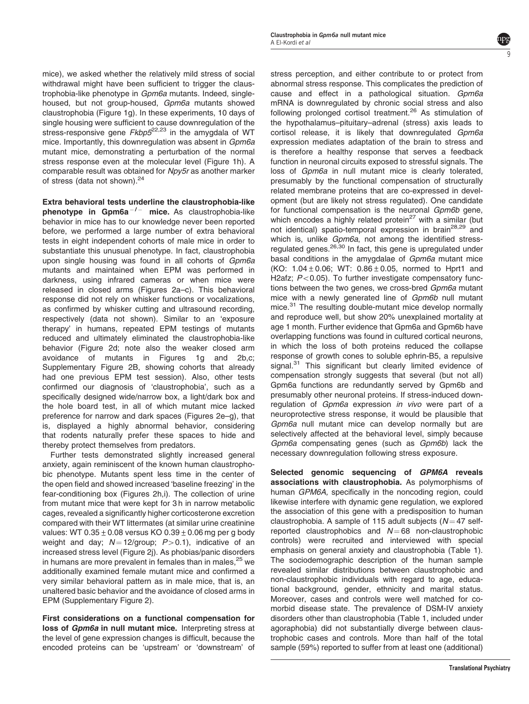mice), we asked whether the relatively mild stress of social withdrawal might have been sufficient to trigger the claustrophobia-like phenotype in *Gpm6a* mutants. Indeed, singlehoused, but not group-housed, Gpm6a mutants showed claustrophobia [\(Figure 1g](#page-1-0)). In these experiments, 10 days of single housing were sufficient to cause downregulation of the stress-responsive gene  $Fkbp5^{22,23}$  $Fkbp5^{22,23}$  $Fkbp5^{22,23}$  in the amygdala of WT mice. Importantly, this downregulation was absent in Gpm6a mutant mice, demonstrating a perturbation of the normal stress response even at the molecular level ([Figure 1h\)](#page-1-0). A comparable result was obtained for Npy5r as another marker of stress (data not shown).<sup>[24](#page-10-0)</sup>

Extra behavioral tests underline the claustrophobia-like  $phenotype$  in  $Gpm6a^{-/-}$  mice. As claustrophobia-like behavior in mice has to our knowledge never been reported before, we performed a large number of extra behavioral tests in eight independent cohorts of male mice in order to substantiate this unusual phenotype. In fact, claustrophobia upon single housing was found in all cohorts of Gpm6a mutants and maintained when EPM was performed in darkness, using infrared cameras or when mice were released in closed arms ([Figures 2a–c\)](#page-3-0). This behavioral response did not rely on whisker functions or vocalizations, as confirmed by whisker cutting and ultrasound recording, respectively (data not shown). Similar to an 'exposure therapy' in humans, repeated EPM testings of mutants reduced and ultimately eliminated the claustrophobia-like behavior ([Figure 2d](#page-3-0); note also the weaker closed arm avoidance of mutants in [Figures 1g and 2b,c](#page-1-0); Supplementary Figure 2B, showing cohorts that already had one previous EPM test session). Also, other tests confirmed our diagnosis of 'claustrophobia', such as a specifically designed wide/narrow box, a light/dark box and the hole board test, in all of which mutant mice lacked preference for narrow and dark spaces ([Figures 2e–g](#page-3-0)), that is, displayed a highly abnormal behavior, considering that rodents naturally prefer these spaces to hide and thereby protect themselves from predators.

Further tests demonstrated slightly increased general anxiety, again reminiscent of the known human claustrophobic phenotype. Mutants spent less time in the center of the open field and showed increased 'baseline freezing' in the fear-conditioning box ([Figures 2h,i\)](#page-3-0). The collection of urine from mutant mice that were kept for 3 h in narrow metabolic cages, revealed a significantly higher corticosterone excretion compared with their WT littermates (at similar urine creatinine values: WT  $0.35 \pm 0.08$  versus KO  $0.39 \pm 0.06$  mg per g body weight and day;  $N = 12$ /group;  $P > 0.1$ ), indicative of an increased stress level [\(Figure 2j\)](#page-3-0). As phobias/panic disorders in humans are more prevalent in females than in males,  $25$  we additionally examined female mutant mice and confirmed a very similar behavioral pattern as in male mice, that is, an unaltered basic behavior and the avoidance of closed arms in EPM (Supplementary Figure 2).

First considerations on a functional compensation for loss of Gpm6a in null mutant mice. Interpreting stress at the level of gene expression changes is difficult, because the encoded proteins can be 'upstream' or 'downstream' of

stress perception, and either contribute to or protect from abnormal stress response. This complicates the prediction of cause and effect in a pathological situation. Gpm6a mRNA is downregulated by chronic social stress and also following prolonged cortisol treatment.<sup>[26](#page-10-0)</sup> As stimulation of the hypothalamus–pituitary–adrenal (stress) axis leads to cortisol release, it is likely that downregulated Gpm6a expression mediates adaptation of the brain to stress and is therefore a healthy response that serves a feedback function in neuronal circuits exposed to stressful signals. The loss of Gpm6a in null mutant mice is clearly tolerated, presumably by the functional compensation of structurally related membrane proteins that are co-expressed in development (but are likely not stress regulated). One candidate for functional compensation is the neuronal Gpm6b gene, which encodes a highly related protein $27$  with a similar (but not identical) spatio-temporal expression in brain<sup>[28,29](#page-10-0)</sup> and which is, unlike *Gpm6a*, not among the identified stress-regulated genes.<sup>[26,30](#page-10-0)</sup> In fact, this gene is upregulated under basal conditions in the amygdalae of Gpm6a mutant mice (KO:  $1.04 \pm 0.06$ ; WT:  $0.86 \pm 0.05$ , normed to Hprt1 and H2afz;  $P < 0.05$ ). To further investigate compensatory functions between the two genes, we cross-bred Gpm6a mutant mice with a newly generated line of Gpm6b null mutant mice.<sup>[31](#page-11-0)</sup> The resulting double-mutant mice develop normally and reproduce well, but show 20% unexplained mortality at age 1 month. Further evidence that Gpm6a and Gpm6b have overlapping functions was found in cultured cortical neurons, in which the loss of both proteins reduced the collapse response of growth cones to soluble ephrin-B5, a repulsive signal.<sup>[31](#page-11-0)</sup> This significant but clearly limited evidence of compensation strongly suggests that several (but not all) Gpm6a functions are redundantly served by Gpm6b and presumably other neuronal proteins. If stress-induced downregulation of Gpm6a expression in vivo were part of a neuroprotective stress response, it would be plausible that Gpm6a null mutant mice can develop normally but are selectively affected at the behavioral level, simply because Gpm6a compensating genes (such as Gpm6b) lack the necessary downregulation following stress exposure.

Selected genomic sequencing of GPM6A reveals associations with claustrophobia. As polymorphisms of human GPM6A, specifically in the noncoding region, could likewise interfere with dynamic gene regulation, we explored the association of this gene with a predisposition to human claustrophobia. A sample of 115 adult subjects ( $N = 47$  selfreported claustrophobics and  $N = 68$  non-claustrophobic controls) were recruited and interviewed with special emphasis on general anxiety and claustrophobia ([Table 1](#page-5-0)). The sociodemographic description of the human sample revealed similar distributions between claustrophobic and non-claustrophobic individuals with regard to age, educational background, gender, ethnicity and marital status. Moreover, cases and controls were well matched for comorbid disease state. The prevalence of DSM-IV anxiety disorders other than claustrophobia ([Table 1](#page-5-0), included under agoraphobia) did not substantially diverge between claustrophobic cases and controls. More than half of the total sample (59%) reported to suffer from at least one (additional)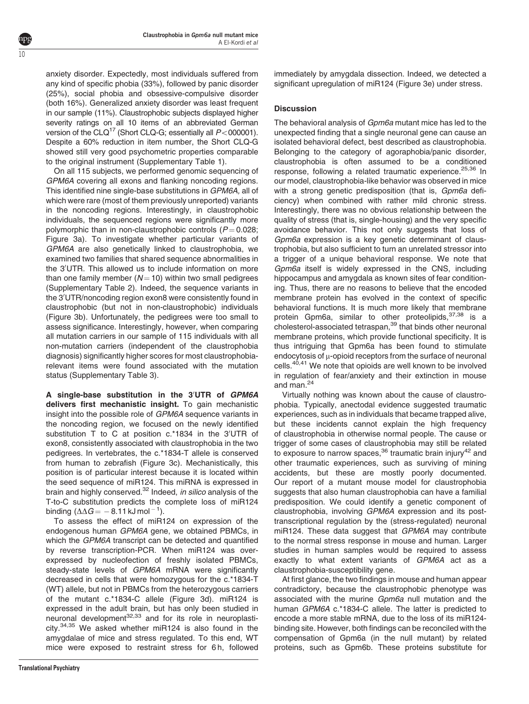anxiety disorder. Expectedly, most individuals suffered from any kind of specific phobia (33%), followed by panic disorder (25%), social phobia and obsessive-compulsive disorder (both 16%). Generalized anxiety disorder was least frequent in our sample (11%). Claustrophobic subjects displayed higher severity ratings on all 10 items of an abbreviated German version of the CLQ<sup>17</sup> (Short CLQ-G; essentially all  $P<$ 000001). Despite a 60% reduction in item number, the Short CLQ-G showed still very good psychometric properties comparable to the original instrument (Supplementary Table 1).

On all 115 subjects, we performed genomic sequencing of GPM6A covering all exons and flanking noncoding regions. This identified nine single-base substitutions in GPM6A, all of which were rare (most of them previously unreported) variants in the noncoding regions. Interestingly, in claustrophobic individuals, the sequenced regions were significantly more polymorphic than in non-claustrophobic controls  $(P = 0.028;$ [Figure 3a](#page-6-0)). To investigate whether particular variants of GPM6A are also genetically linked to claustrophobia, we examined two families that shared sequence abnormalities in the 3'UTR. This allowed us to include information on more than one family member  $(N = 10)$  within two small pedigrees (Supplementary Table 2). Indeed, the sequence variants in the 3'UTR/noncoding region exon8 were consistently found in claustrophobic (but not in non-claustrophobic) individuals ([Figure 3b\)](#page-6-0). Unfortunately, the pedigrees were too small to assess significance. Interestingly, however, when comparing all mutation carriers in our sample of 115 individuals with all non-mutation carriers (independent of the claustrophobia diagnosis) significantly higher scores for most claustrophobiarelevant items were found associated with the mutation status (Supplementary Table 3).

A single-base substitution in the 3'UTR of GPM6A delivers first mechanistic insight. To gain mechanistic insight into the possible role of GPM6A sequence variants in the noncoding region, we focused on the newly identified substitution T to C at position c.\*1834 in the 3'UTR of exon8, consistently associated with claustrophobia in the two pedigrees. In vertebrates, the c.\*1834-T allele is conserved from human to zebrafish ([Figure 3c\)](#page-6-0). Mechanistically, this position is of particular interest because it is located within the seed sequence of miR124. This miRNA is expressed in brain and highly conserved.<sup>[32](#page-11-0)</sup> Indeed, *in silico* analysis of the T-to-C substitution predicts the complete loss of miR124 binding  $(\Delta\Delta G=-\,8.11$  kJ mol  $^{-\,1}).$ 

To assess the effect of miR124 on expression of the endogenous human GPM6A gene, we obtained PBMCs, in which the GPM6A transcript can be detected and quantified by reverse transcription-PCR. When miR124 was overexpressed by nucleofection of freshly isolated PBMCs, steady-state levels of GPM6A mRNA were significantly decreased in cells that were homozygous for the c.\*1834-T (WT) allele, but not in PBMCs from the heterozygous carriers of the mutant c.\*1834-C allele [\(Figure 3d\)](#page-6-0). miR124 is expressed in the adult brain, but has only been studied in neuronal development<sup>[32,33](#page-11-0)</sup> and for its role in neuroplasticity.[34,35](#page-11-0) We asked whether miR124 is also found in the amygdalae of mice and stress regulated. To this end, WT mice were exposed to restraint stress for 6 h, followed immediately by amygdala dissection. Indeed, we detected a significant upregulation of miR124 ([Figure 3e](#page-6-0)) under stress.

# **Discussion**

The behavioral analysis of Gpm6a mutant mice has led to the unexpected finding that a single neuronal gene can cause an isolated behavioral defect, best described as claustrophobia. Belonging to the category of agoraphobia/panic disorder, claustrophobia is often assumed to be a conditioned response, following a related traumatic experience.<sup>[25,36](#page-10-0)</sup> In our model, claustrophobia-like behavior was observed in mice with a strong genetic predisposition (that is, Gpm6a deficiency) when combined with rather mild chronic stress. Interestingly, there was no obvious relationship between the quality of stress (that is, single-housing) and the very specific avoidance behavior. This not only suggests that loss of Gpm6a expression is a key genetic determinant of claustrophobia, but also sufficient to turn an unrelated stressor into a trigger of a unique behavioral response. We note that Gpm6a itself is widely expressed in the CNS, including hippocampus and amygdala as known sites of fear conditioning. Thus, there are no reasons to believe that the encoded membrane protein has evolved in the context of specific behavioral functions. It is much more likely that membrane protein Gpm6a, similar to other proteolipids, [37,38](#page-11-0) is a cholesterol-associated tetraspan,<sup>[39](#page-11-0)</sup> that binds other neuronal membrane proteins, which provide functional specificity. It is thus intriguing that Gpm6a has been found to stimulate endocytosis of  $\mu$ -opioid receptors from the surface of neuronal cells.<sup>[40,41](#page-11-0)</sup> We note that opioids are well known to be involved in regulation of fear/anxiety and their extinction in mouse and man.<sup>[24](#page-10-0)</sup>

Virtually nothing was known about the cause of claustrophobia. Typically, anectodal evidence suggested traumatic experiences, such as in individuals that became trapped alive, but these incidents cannot explain the high frequency of claustrophobia in otherwise normal people. The cause or trigger of some cases of claustrophobia may still be related to exposure to narrow spaces,  $36$  traumatic brain injury<sup>[42](#page-11-0)</sup> and other traumatic experiences, such as surviving of mining accidents, but these are mostly poorly documented. Our report of a mutant mouse model for claustrophobia suggests that also human claustrophobia can have a familial predisposition. We could identify a genetic component of claustrophobia, involving GPM6A expression and its posttranscriptional regulation by the (stress-regulated) neuronal miR124. These data suggest that GPM6A may contribute to the normal stress response in mouse and human. Larger studies in human samples would be required to assess exactly to what extent variants of GPM6A act as a claustrophobia-susceptibility gene.

At first glance, the two findings in mouse and human appear contradictory, because the claustrophobic phenotype was associated with the murine Gpm6a null mutation and the human GPM6A c.\*1834-C allele. The latter is predicted to encode a more stable mRNA, due to the loss of its miR124 binding site. However, both findings can be reconciled with the compensation of Gpm6a (in the null mutant) by related proteins, such as Gpm6b. These proteins substitute for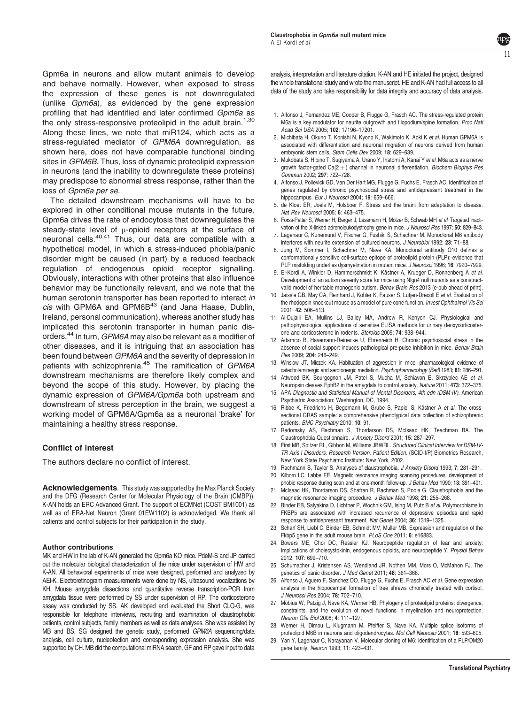<span id="page-10-0"></span>Gpm6a in neurons and allow mutant animals to develop and behave normally. However, when exposed to stress the expression of these genes is not downregulated (unlike Gpm6a), as evidenced by the gene expression profiling that had identified and later confirmed Gpm6a as the only stress-responsive proteolipid in the adult brain.<sup>1,30</sup> Along these lines, we note that miR124, which acts as a stress-regulated mediator of GPM6A downregulation, as shown here, does not have comparable functional binding sites in GPM6B. Thus, loss of dynamic proteolipid expression in neurons (and the inability to downregulate these proteins) may predispose to abnormal stress response, rather than the loss of Gpm6a per se.

The detailed downstream mechanisms will have to be explored in other conditional mouse mutants in the future. Gpm6a drives the rate of endocytosis that downregulates the steady-state level of  $\mu$ -opioid receptors at the surface of neuronal cells.[40,41](#page-11-0) Thus, our data are compatible with a hypothetical model, in which a stress-induced phobia/panic disorder might be caused (in part) by a reduced feedback regulation of endogenous opioid receptor signalling. Obviously, interactions with other proteins that also influence behavior may be functionally relevant, and we note that the human serotonin transporter has been reported to interact in  $cis$  with GPM6A and GPM6B $43$  (and Jana Haase, Dublin, Ireland, personal communication), whereas another study has implicated this serotonin transporter in human panic disorders.[44](#page-11-0) In turn, GPM6A may also be relevant as a modifier of other diseases, and it is intriguing that an association has been found between GPM6A and the severity of depression in patients with schizophrenia.<sup>[45](#page-11-0)</sup> The ramification of GPM6A downstream mechanisms are therefore likely complex and beyond the scope of this study. However, by placing the dynamic expression of GPM6A/Gpm6a both upstream and downstream of stress perception in the brain, we suggest a working model of GPM6A/Gpm6a as a neuronal 'brake' for maintaining a healthy stress response.

### Conflict of interest

The authors declare no conflict of interest.

Acknowledgements. This study was supported by the Max Planck Society and the DFG (Research Center for Molecular Physiology of the Brain (CMBP)). K-AN holds an ERC Advanced Grant. The support of ECMNet (COST BM1001) as well as of ERA-Net Neuron (Grant 01EW1102) is acknowledged. We thank all patients and control subjects for their participation in the study.

#### Author contributions

MK and HW in the lab of K-AN generated the Gpm6a KO mice. PdeM-S and JP carried out the molecular biological characterization of the mice under supervision of HW and K-AN. All behavioral experiments of mice were designed, performed and analyzed by AEl-K. Electroretinogram measurements were done by NS, ultrasound vocalizations by KH. Mouse amygdala dissections and quantitative reverse transcription-PCR from amygdala tissue were performed by SS under supervision of RP. The corticosterone assay was conducted by SS. AK developed and evaluated the Short CLQ-G, was responsible for telephone interviews, recruiting and examination of claustrophobic patients, control subjects, family members as well as data analyses. She was assisted by MB and BS. SG designed the genetic study, performed GPM6A sequencing/data analysis, cell culture, nucleofection and corresponding expression analysis. She was supported by CH. MB did the computational miRNA search. GF and RP gave input to data

analysis, interpretation and literature citation. K-AN and HE initiated the project, designed the whole translational study and wrote the manuscript. HE and K-AN had full access to all data of the study and take responsibility for data integrity and accuracy of data analysis.

- 1. Alfonso J, Fernandez ME, Cooper B, Flugge G, Frasch AC. The stress-regulated protein M6a is a key modulator for neurite outgrowth and filopodium/spine formation. Proc Natl Acad Sci USA 2005; 102: 17196–17201.
- 2. Michibata H, Okuno T, Konishi N, Kyono K, Wakimoto K, Aoki K et al. Human GPM6A is associated with differentiation and neuronal migration of neurons derived from human embryonic stem cells. Stem Cells Dev 2009; 18: 629–639.
- 3. Mukobata S, Hibino T, Sugiyama A, Urano Y, Inatomi A, Kanai Y et al. M6a acts as a nerve growth factor-gated  $Ca(2 + )$  channel in neuronal differentiation. Biochem Biophys Res Commun 2002; 297: 722–728.
- 4. Alfonso J, Pollevick GD, Van Der Hart MG, Flugge G, Fuchs E, Frasch AC. Identification of genes regulated by chronic psychosocial stress and antidepressant treatment in the hippocampus. Eur J Neurosci 2004; 19: 659–666.
- 5. de Kloet ER, Joels M, Holsboer F. Stress and the brain: from adaptation to disease. Nat Rev Neurosci 2005; 6: 463–475.
- 6. Forss-Petter S, Werner H, Berger J, Lassmann H, Molzer B, Schwab MH et al. Targeted inactivation of the X-linked adrenoleukodystrophy gene in mice. J Neurosci Res 1997; 50: 829–843.
- 7. Lagenaur C, Kunemund V, Fischer G, Fushiki S, Schachner M. Monoclonal M6 antibody interferes with neurite extension of cultured neurons. J Neurobiol 1992; 23: 71–88.
- 8. Jung M, Sommer I, Schachner M, Nave KA. Monoclonal antibody O10 defines a conformationally sensitive cell-surface epitope of proteolipid protein (PLP): evidence that PLP misfolding underlies dysmyelination in mutant mice. J Neurosci 1996; 16: 7920-7929.
- 9. El-Kordi A, Winkler D, Hammerschmidt K, Kästner A, Krueger D, Ronnenberg A et al. Development of an autism severity score for mice using Nlgn4 null mutants as a constructvalid model of heritable monogenic autism. Behav Brain Res 2013 (e-pub ahead of print).
- 10. Jaissle GB, May CA, Reinhard J, Kohler K, Fauser S, Lutjen-Drecoll E et al. Evaluation of the rhodopsin knockout mouse as a model of pure cone function. Invest Ophthalmol Vis Sci 2001; 42: 506–513.
- 11. Al-Dujaili EA, Mullins LJ, Bailey MA, Andrew R, Kenyon CJ. Physiological and pathophysiological applications of sensitive ELISA methods for urinary deoxycorticosterone and corticosterone in rodents. Steroids 2009; 74: 938–944.
- 12. Adamcio B, Havemann-Reinecke U, Ehrenreich H. Chronic psychosocial stress in the absence of social support induces pathological pre-pulse inhibition in mice. Behav Brain Res 2009; 204: 246–249.
- 13. Winslow JT, Miczek KA. Habituation of aggression in mice: pharmacological evidence of catecholaminergic and serotonergic mediation. Psychopharmacology (Berl) 1983; 81: 286–291.
- 14. Attwood BK, Bourgognon JM, Patel S, Mucha M, Schiavon E, Skrzypiec AE et al. Neuropsin cleaves EphB2 in the amygdala to control anxiety. Nature 2011; 473: 372–375. 15. APA Diagnostic and Statistical Manual of Mental Disorders, 4th edn (DSM-IV). American
- Psychiatric Association: Washington, DC, 1994.
- 16. Ribbe K, Friedrichs H, Begemann M, Grube S, Papiol S, Kästner A et al. The crosssectional GRAS sample: a comprehensive phenotypical data collection of schizophrenic patients. BMC Psychiatry 2010; 10: 91.
- 17. Radomsky AS, Rachman S, Thordarson DS, McIsaac HK, Teachman BA. The Claustrophobia Questionnaire. J Anxiety Disord 2001; 15: 287–297.
- 18. First MB, Spitzer RL, Gibbon M, Williams JBWRL. Structured Clinical Interview for DSM-IV-TR Axis I Disorders, Research Version, Patient Edition. (SCID-I/P) Biometrics Research, New York State Psychiatric Institute: New York, 2002.
- 19. Rachmann S, Taylor S. Analyses of claustrophobia. J Anxiety Disord 1993; 7: 281–291. 20. Kilborn LC, Labbe EE. Magnetic resonance imaging scanning procedures: development of
- phobic response during scan and at one-month follow-up. J Behav Med 1990; 13: 391-401.
- 21. McIsaac HK, Thordarson DS, Shafran R, Rachman S, Poole G. Claustrophobia and the magnetic resonance imaging procedure. J Behav Med 1998; 21: 255–268.
- 22. Binder EB, Salyakina D, Lichtner P, Wochnik GM, Ising M, Putz B et al. Polymorphisms in FKBP5 are associated with increased recurrence of depressive episodes and rapid response to antidepressant treatment. Nat Genet 2004; 36: 1319–1325.
- 23. Scharf SH, Liebl C, Binder EB, Schmidt MV, Muller MB. Expression and regulation of the Fkbp5 gene in the adult mouse brain. PLoS One 2011; 6: e16883.
- 24. Bowers ME, Choi DC, Ressler KJ. Neuropeptide regulation of fear and anxiety: Implications of cholecystokinin, endogenous opioids, and neuropeptide Y. Physiol Behav 2012; 107: 699–710.
- 25. Schumacher J, Kristensen AS, Wendland JR, Nothen MM, Mors O, McMahon FJ. The genetics of panic disorder. J Med Genet 2011; 48: 361–368.
- 26. Alfonso J, Aguero F, Sanchez DO, Flugge G, Fuchs E, Frasch AC et al. Gene expression analysis in the hippocampal formation of tree shrews chronically treated with cortisol. J Neurosci Res 2004; 78: 702–710.
- 27. Möbius W, Patzig J, Nave KA, Werner HB. Phylogeny of proteolipid proteins: divergence, constraints, and the evolution of novel functions in myelination and neuroprotection. Neuron Glia Biol 2008; 4: 111–127.
- 28. Werner H, Dimou L, Klugmann M, Pfeiffer S, Nave KA. Multiple splice isoforms of proteolipid M6B in neurons and oligodendrocytes. Mol Cell Neurosci 2001; 18: 593-605.
- 29. Yan Y, Lagenaur C, Narayanan V. Molecular cloning of M6: identification of a PLP/DM20 gene family. Neuron 1993; 11: 423–431.